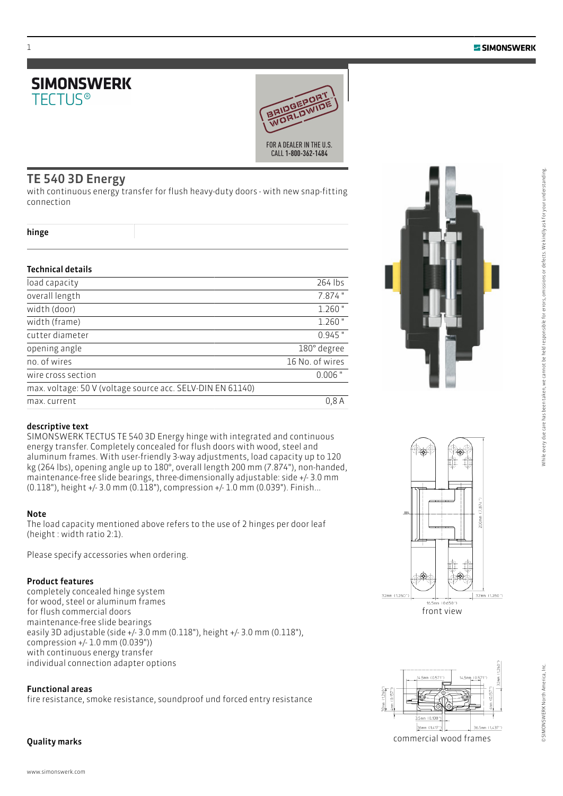# **SIMONSWERK TFCTUS®**



## TE 540 3D Energy

with continuous energy transfer for flush heavy-duty doors - with new snap-fitting connection

#### hinge

### Technical details

| load capacity                                              | 264 lbs         |
|------------------------------------------------------------|-----------------|
| overall length                                             | 7.874"          |
| width (door)                                               | $1.260$ "       |
| width (frame)                                              | $1.260$ "       |
| cutter diameter                                            | $0.945$ "       |
| opening angle                                              | 180° degree     |
| no. of wires                                               | 16 No. of wires |
| wire cross section                                         | $0.006$ "       |
| max. voltage: 50 V (voltage source acc. SELV-DIN EN 61140) |                 |
| max. current                                               | 0.8A            |



## descriptive text

SIMONSWERK TECTUS TE 540 3D Energy hinge with integrated and continuous energy transfer. Completely concealed for flush doors with wood, steel and aluminum frames. With user-friendly 3-way adjustments, load capacity up to 120 kg (264 lbs), opening angle up to 180°, overall length 200 mm (7.874"), non-handed, maintenance-free slide bearings, three-dimensionally adjustable: side +/- 3.0 mm (0.118"), height +/- 3.0 mm (0.118"), compression +/- 1.0 mm (0.039"). Finish...

## Note

The load capacity mentioned above refers to the use of 2 hinges per door leaf (height : width ratio 2:1).

Please specify accessories when ordering.

## Product features

completely concealed hinge system for wood, steel or aluminum frames for flush commercial doors maintenance-free slide bearings easily 3D adjustable (side +/- 3.0 mm (0.118"), height +/- 3.0 mm (0.118"), compression +/- 1.0 mm (0.039")) with continuous energy transfer individual connection adapter options

## Functional areas

fire resistance, smoke resistance, soundproof und forced entry resistance

## Quality marks





commercial wood frames